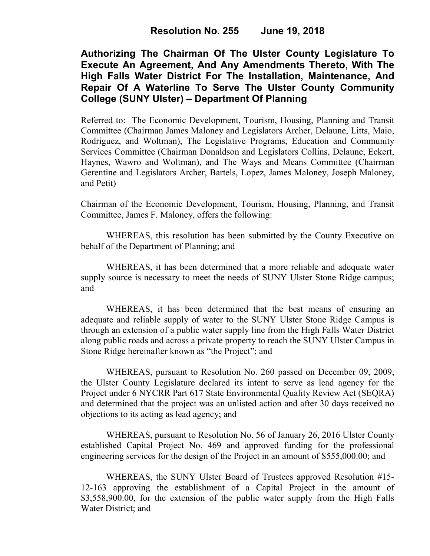**Authorizing The Chairman Of The Ulster County Legislature To Execute An Agreement, And Any Amendments Thereto, With The High Falls Water District For The Installation, Maintenance, And Repair Of A Waterline To Serve The Ulster County Community College (SUNY Ulster) – Department Of Planning**

Referred to: The Economic Development, Tourism, Housing, Planning and Transit Committee (Chairman James Maloney and Legislators Archer, Delaune, Litts, Maio, Rodriguez, and Woltman), The Legislative Programs, Education and Community Services Committee (Chairman Donaldson and Legislators Collins, Delaune, Eckert, Haynes, Wawro and Woltman), and The Ways and Means Committee (Chairman Gerentine and Legislators Archer, Bartels, Lopez, James Maloney, Joseph Maloney, and Petit)

Chairman of the Economic Development, Tourism, Housing, Planning, and Transit Committee, James F. Maloney, offers the following:

WHEREAS, this resolution has been submitted by the County Executive on behalf of the Department of Planning; and

WHEREAS, it has been determined that a more reliable and adequate water supply source is necessary to meet the needs of SUNY Ulster Stone Ridge campus; and

WHEREAS, it has been determined that the best means of ensuring an adequate and reliable supply of water to the SUNY Ulster Stone Ridge Campus is through an extension of a public water supply line from the High Falls Water District along public roads and across a private property to reach the SUNY Ulster Campus in Stone Ridge hereinafter known as "the Project"; and

WHEREAS, pursuant to Resolution No. 260 passed on December 09, 2009, the Ulster County Legislature declared its intent to serve as lead agency for the Project under 6 NYCRR Part 617 State Environmental Quality Review Act (SEQRA) and determined that the project was an unlisted action and after 30 days received no objections to its acting as lead agency; and

WHEREAS, pursuant to Resolution No. 56 of January 26, 2016 Ulster County established Capital Project No. 469 and approved funding for the professional engineering services for the design of the Project in an amount of \$555,000.00; and

WHEREAS, the SUNY Ulster Board of Trustees approved Resolution #15- 12-163 approving the establishment of a Capital Project in the amount of \$3,558,900.00, for the extension of the public water supply from the High Falls Water District; and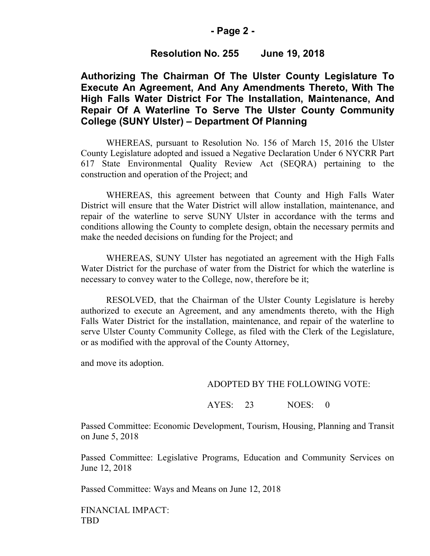# **- Page 2 -**

# **Resolution No. 255 June 19, 2018**

# **Authorizing The Chairman Of The Ulster County Legislature To Execute An Agreement, And Any Amendments Thereto, With The High Falls Water District For The Installation, Maintenance, And Repair Of A Waterline To Serve The Ulster County Community College (SUNY Ulster) – Department Of Planning**

WHEREAS, pursuant to Resolution No. 156 of March 15, 2016 the Ulster County Legislature adopted and issued a Negative Declaration Under 6 NYCRR Part 617 State Environmental Quality Review Act (SEQRA) pertaining to the construction and operation of the Project; and

WHEREAS, this agreement between that County and High Falls Water District will ensure that the Water District will allow installation, maintenance, and repair of the waterline to serve SUNY Ulster in accordance with the terms and conditions allowing the County to complete design, obtain the necessary permits and make the needed decisions on funding for the Project; and

WHEREAS, SUNY Ulster has negotiated an agreement with the High Falls Water District for the purchase of water from the District for which the waterline is necessary to convey water to the College, now, therefore be it;

RESOLVED, that the Chairman of the Ulster County Legislature is hereby authorized to execute an Agreement, and any amendments thereto, with the High Falls Water District for the installation, maintenance, and repair of the waterline to serve Ulster County Community College, as filed with the Clerk of the Legislature, or as modified with the approval of the County Attorney,

and move its adoption.

#### ADOPTED BY THE FOLLOWING VOTE:

AYES: 23 NOES: 0

Passed Committee: Economic Development, Tourism, Housing, Planning and Transit on June 5, 2018

Passed Committee: Legislative Programs, Education and Community Services on June 12, 2018

Passed Committee: Ways and Means on June 12, 2018

FINANCIAL IMPACT: TBD